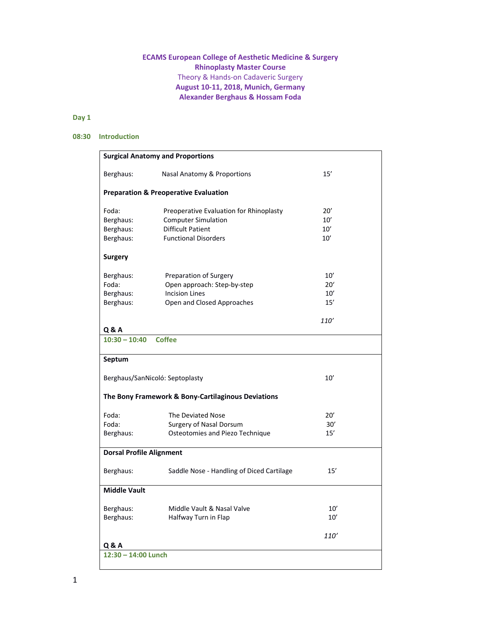# **ECAMS European College of Aesthetic Medicine & Surgery Rhinoplasty Master Course**  Theory & Hands‐on Cadaveric Surgery **August 10‐11, 2018, Munich, Germany Alexander Berghaus & Hossam Foda**

# **Day 1**

### **08:30 Introduction**

| <b>Surgical Anatomy and Proportions</b>            |                                                        |               |  |  |
|----------------------------------------------------|--------------------------------------------------------|---------------|--|--|
| Berghaus:                                          | Nasal Anatomy & Proportions                            | 15'           |  |  |
| <b>Preparation &amp; Preoperative Evaluation</b>   |                                                        |               |  |  |
| Foda:                                              | Preoperative Evaluation for Rhinoplasty                | 20'           |  |  |
| Berghaus:                                          | <b>Computer Simulation</b><br><b>Difficult Patient</b> | 10'           |  |  |
| Berghaus:                                          | <b>Functional Disorders</b>                            | 10'           |  |  |
| Berghaus:                                          |                                                        | 10'           |  |  |
| <b>Surgery</b>                                     |                                                        |               |  |  |
| Berghaus:                                          | Preparation of Surgery                                 | 10'           |  |  |
| Foda:                                              | Open approach: Step-by-step                            | $20^{\prime}$ |  |  |
| Berghaus:                                          | <b>Incision Lines</b>                                  | 10'           |  |  |
| Berghaus:                                          | Open and Closed Approaches                             | 15'           |  |  |
|                                                    |                                                        | 110'          |  |  |
| Q & A                                              |                                                        |               |  |  |
| $10:30 - 10:40$                                    | <b>Coffee</b>                                          |               |  |  |
| Septum                                             |                                                        |               |  |  |
| Berghaus/SanNicoló: Septoplasty                    |                                                        | 10'           |  |  |
| The Bony Framework & Bony-Cartilaginous Deviations |                                                        |               |  |  |
| Foda:                                              | The Deviated Nose                                      | 20'           |  |  |
| Foda:                                              | Surgery of Nasal Dorsum                                | 30'           |  |  |
| Berghaus:                                          | Osteotomies and Piezo Technique                        | 15'           |  |  |
| <b>Dorsal Profile Alignment</b>                    |                                                        |               |  |  |
| Berghaus:                                          | Saddle Nose - Handling of Diced Cartilage              | 15'           |  |  |
| <b>Middle Vault</b>                                |                                                        |               |  |  |
| Berghaus:                                          | Middle Vault & Nasal Valve                             | 10'           |  |  |
| Berghaus:                                          | Halfway Turn in Flap                                   | $10'$         |  |  |
|                                                    |                                                        | 110'          |  |  |
| <b>Q&amp;A</b>                                     |                                                        |               |  |  |
| 12:30 - 14:00 Lunch                                |                                                        |               |  |  |
|                                                    |                                                        |               |  |  |